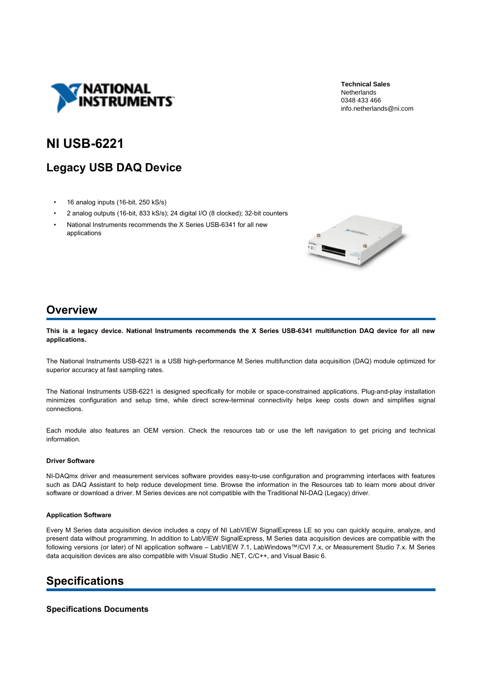

**Technical Sales** Netherlands 0348 433 466 info netherlands@ni com

## **NI USB-6221**

## **Legacy USB DAQ Device**

- 16 analog inputs (16-bit, 250 kS/s)
- 2 analog outputs (16-bit, 833 kS/s); 24 digital I/O (8 clocked); 32-bit counters
- National Instruments recommends the X Series USB-6341 for all new applications



## **Overview**

This is a legacy device. National Instruments recommends the X Series USB-6341 multifunction DAQ device for all new applications.

The National Instruments USB-6221 is a USB high-performance M Series multifunction data acquisition (DAQ) module optimized for superior accuracy at fast sampling rates.

The National Instruments USB-6221 is designed specifically for mobile or space-constrained applications. Plug-and-play installation minimizes configuration and setup time, while direct screw-terminal connectivity helps keep costs down and simplifies signal connections.

Each module also features an OEM version. Check the resources tab or use the left navigation to get pricing and technical information.

#### **Driver Software**

NI-DAQmx driver and measurement services software provides easy-to-use configuration and programming interfaces with features such as DAQ Assistant to help reduce development time. Browse the information in the Resources tab to learn more about driver software or download a driver. M Series devices are not compatible with the Traditional NI-DAQ (Legacy) driver.

#### **Application Software**

Every M Series data acquisition device includes a copy of NI LabVIEW SignalExpress LE so you can quickly acquire, analyze, and present data without programming. In addition to LabVIEW SignalExpress, M Series data acquisition devices are compatible with the following versions (or later) of NI application software - LabVIEW 7.1, LabWindows™/CVI 7.x, or Measurement Studio 7.x. M Series data acquisition devices are also compatible with Visual Studio .NET, C/C++, and Visual Basic 6.

## **Specifications**

### **Specifications Documents**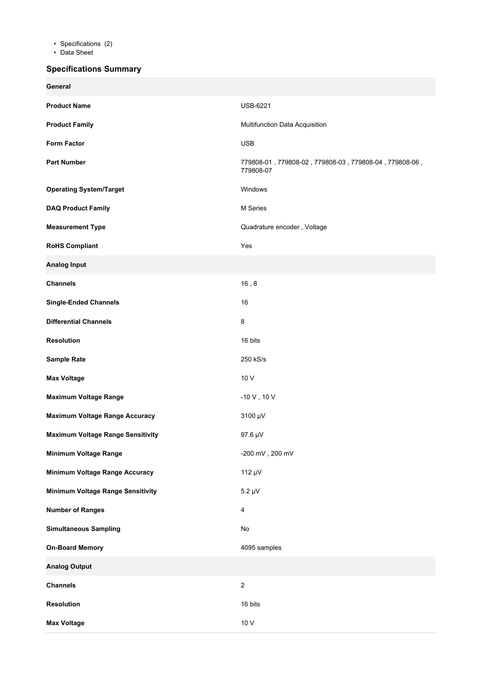- Specifications (2)<br>• Data Sheet
- 

## **Specifications Summary**

| General                                  |                                                                          |
|------------------------------------------|--------------------------------------------------------------------------|
| <b>Product Name</b>                      | <b>USB-6221</b>                                                          |
| <b>Product Family</b>                    | Multifunction Data Acquisition                                           |
| <b>Form Factor</b>                       | <b>USB</b>                                                               |
| <b>Part Number</b>                       | 779808-01 , 779808-02 , 779808-03 , 779808-04 , 779808-06 ,<br>779808-07 |
| <b>Operating System/Target</b>           | Windows                                                                  |
| <b>DAQ Product Family</b>                | M Series                                                                 |
| <b>Measurement Type</b>                  | Quadrature encoder, Voltage                                              |
| <b>RoHS Compliant</b>                    | Yes                                                                      |
| <b>Analog Input</b>                      |                                                                          |
| <b>Channels</b>                          | $16, 8$                                                                  |
| <b>Single-Ended Channels</b>             | 16                                                                       |
| <b>Differential Channels</b>             | 8                                                                        |
| <b>Resolution</b>                        | 16 bits                                                                  |
| <b>Sample Rate</b>                       | 250 kS/s                                                                 |
| <b>Max Voltage</b>                       | 10 V                                                                     |
| <b>Maximum Voltage Range</b>             | $-10$ V, $10$ V                                                          |
| <b>Maximum Voltage Range Accuracy</b>    | 3100 µV                                                                  |
| <b>Maximum Voltage Range Sensitivity</b> | 97.6 µV                                                                  |
| Minimum Voltage Range                    | -200 mV, 200 mV                                                          |
| Minimum Voltage Range Accuracy           | 112 µV                                                                   |
| Minimum Voltage Range Sensitivity        | $5.2 \mu V$                                                              |
| <b>Number of Ranges</b>                  | $\overline{4}$                                                           |
| <b>Simultaneous Sampling</b>             | No                                                                       |
| <b>On-Board Memory</b>                   | 4095 samples                                                             |
| <b>Analog Output</b>                     |                                                                          |
| <b>Channels</b>                          | $\overline{2}$                                                           |
| <b>Resolution</b>                        | 16 bits                                                                  |
| <b>Max Voltage</b>                       | 10 V                                                                     |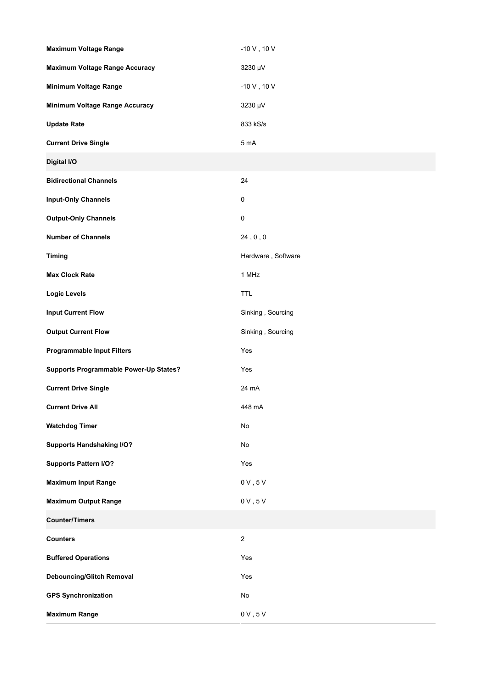| <b>Maximum Voltage Range</b>                  | $-10$ V, $10$ V                   |
|-----------------------------------------------|-----------------------------------|
| <b>Maximum Voltage Range Accuracy</b>         | 3230 µV                           |
| <b>Minimum Voltage Range</b>                  | $-10$ V , 10 V                    |
| Minimum Voltage Range Accuracy                | 3230 µV                           |
| <b>Update Rate</b>                            | 833 kS/s                          |
| <b>Current Drive Single</b>                   | 5 mA                              |
| Digital I/O                                   |                                   |
| <b>Bidirectional Channels</b>                 | 24                                |
| <b>Input-Only Channels</b>                    | 0                                 |
| <b>Output-Only Channels</b>                   | $\pmb{0}$                         |
| <b>Number of Channels</b>                     | $24$ , $0$ , $0$                  |
| <b>Timing</b>                                 | Hardware, Software                |
| <b>Max Clock Rate</b>                         | 1 MHz                             |
| <b>Logic Levels</b>                           | <b>TTL</b>                        |
| <b>Input Current Flow</b>                     | Sinking, Sourcing                 |
| <b>Output Current Flow</b>                    | Sinking, Sourcing                 |
|                                               |                                   |
| <b>Programmable Input Filters</b>             | Yes                               |
| <b>Supports Programmable Power-Up States?</b> | Yes                               |
| <b>Current Drive Single</b>                   | 24 mA                             |
| <b>Current Drive All</b>                      | 448 mA                            |
| <b>Watchdog Timer</b>                         | No                                |
| <b>Supports Handshaking I/O?</b>              | No                                |
| <b>Supports Pattern I/O?</b>                  | Yes                               |
| <b>Maximum Input Range</b>                    | $0\,\mathrm{V}$ , $5\,\mathrm{V}$ |
| <b>Maximum Output Range</b>                   | $0 \vee$ , $5 \vee$               |
| <b>Counter/Timers</b>                         |                                   |
| <b>Counters</b>                               | $\boldsymbol{2}$                  |
| <b>Buffered Operations</b>                    | Yes                               |
| <b>Debouncing/Glitch Removal</b>              | Yes                               |
| <b>GPS Synchronization</b>                    | No                                |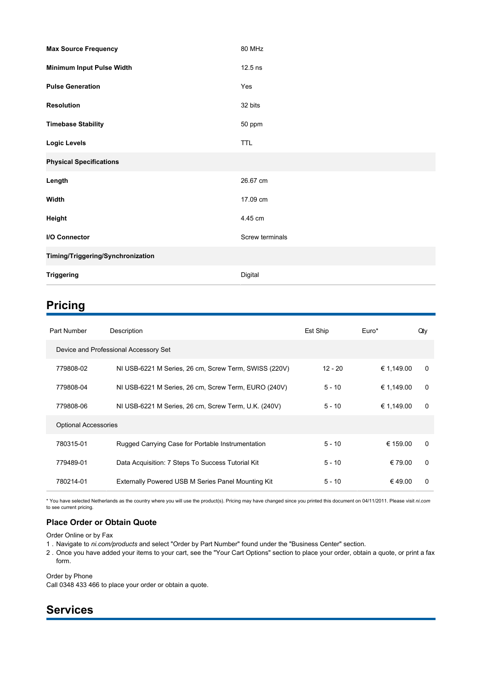| <b>Max Source Frequency</b>       | 80 MHz          |
|-----------------------------------|-----------------|
| Minimum Input Pulse Width         | 12.5 ns         |
| <b>Pulse Generation</b>           | Yes             |
| <b>Resolution</b>                 | 32 bits         |
| <b>Timebase Stability</b>         | 50 ppm          |
| <b>Logic Levels</b>               | <b>TTL</b>      |
| <b>Physical Specifications</b>    |                 |
| Length                            | 26.67 cm        |
| Width                             | 17.09 cm        |
| Height                            | 4.45 cm         |
| I/O Connector                     | Screw terminals |
| Timing/Triggering/Synchronization |                 |
| <b>Triggering</b>                 | Digital         |

# **Pricing**

| Part Number                 | Description                                           | Est Ship  | Euro*      | Qtν      |
|-----------------------------|-------------------------------------------------------|-----------|------------|----------|
|                             | Device and Professional Accessory Set                 |           |            |          |
| 779808-02                   | NI USB-6221 M Series, 26 cm, Screw Term, SWISS (220V) | $12 - 20$ | € 1.149.00 | $\Omega$ |
| 779808-04                   | NI USB-6221 M Series, 26 cm, Screw Term, EURO (240V)  | $5 - 10$  | € 1.149.00 | 0        |
| 779808-06                   | NI USB-6221 M Series, 26 cm, Screw Term, U.K. (240V)  | 5 - 10    | € 1,149.00 | $\Omega$ |
| <b>Optional Accessories</b> |                                                       |           |            |          |
| 780315-01                   | Rugged Carrying Case for Portable Instrumentation     | $5 - 10$  | € 159.00   | $\Omega$ |
| 779489-01                   | Data Acquisition: 7 Steps To Success Tutorial Kit     | $5 - 10$  | € 79.00    | $\Omega$ |
| 780214-01                   | Externally Powered USB M Series Panel Mounting Kit    | $5 - 10$  | €49.00     | $\Omega$ |

\* You have selected Netherlands as the country where you will use the product(s). Pricing may have changed since you printed this document on 04/11/2011. Please visit ni.com to see current pricing.

### **Place Order or Obtain Quote**

Order Online or by Fax

- 1. Navigate to ni.com/products and select "Order by Part Number" found under the "Business Center" section.
- 2. Once you have added your items to your cart, see the "Your Cart Options" section to place your order, obtain a quote, or print a fax form.

Order by Phone

Call 0348 433 466 to place your order or obtain a quote.

# **Services**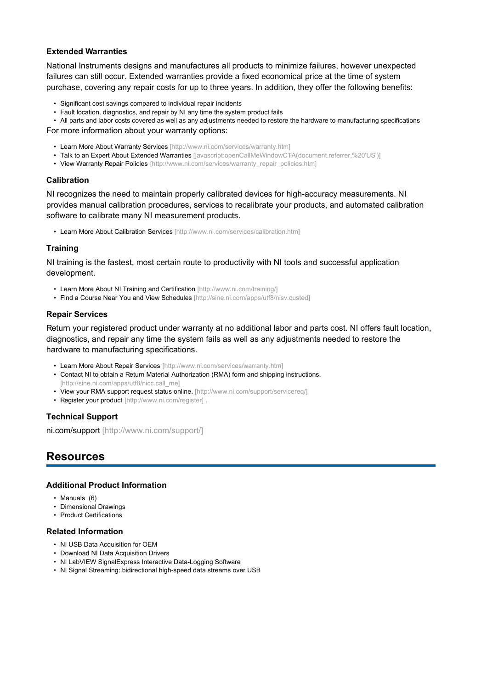### **Extended Warranties**

National Instruments designs and manufactures all products to minimize failures, however unexpected failures can still occur. Extended warranties provide a fixed economical price at the time of system purchase, covering any repair costs for up to three years. In addition, they offer the following benefits:

- Significant cost savings compared to individual repair incidents
- Fault location, diagnostics, and repair by NI any time the system product fails
- All parts and labor costs covered as well as any adjustments needed to restore the hardware to manufacturing specifications For more information about your warranty options:
	- Learn More About Warranty Services [http://www.ni.com/services/warranty.htm]
	- Talk to an Expert About Extended Warranties [javascript:openCallMeWindowCTA(document.referrer,%20'US')]
	- View Warranty Repair Policies [http://www.ni.com/services/warranty\_repair\_policies.htm]

### **Calibration**

NI recognizes the need to maintain properly calibrated devices for high-accuracy measurements. NI provides manual calibration procedures, services to recalibrate your products, and automated calibration software to calibrate many NI measurement products.

• Learn More About Calibration Services [http://www.ni.com/services/calibration.htm]

### **Training**

NI training is the fastest, most certain route to productivity with NI tools and successful application development.

- Learn More About NI Training and Certification [http://www.ni.com/training/]
- Find a Course Near You and View Schedules [http://sine.ni.com/apps/utf8/nisv.custed]

### **Repair Services**

Return your registered product under warranty at no additional labor and parts cost. NI offers fault location, diagnostics, and repair any time the system fails as well as any adjustments needed to restore the hardware to manufacturing specifications.

- Learn More About Repair Services [http://www.ni.com/services/warranty.html
- Contact NI to obtain a Return Material Authorization (RMA) form and shipping instructions. [http://sine.ni.com/apps/utf8/nicc.call me]
- View your RMA support request status online. [http://www.ni.com/support/servicereq/]
- Register your product [http://www.ni.com/register].

### **Technical Support**

ni.com/support [http://www.ni.com/support/]

## **Resources**

### **Additional Product Information**

- Manuals (6)
- Dimensional Drawings
- Product Certifications

### **Related Information**

- NI USB Data Acquisition for OEM
- Download NI Data Acquisition Drivers
- NI LabVIEW SignalExpress Interactive Data-Logging Software
- . NI Signal Streaming: bidirectional high-speed data streams over USB